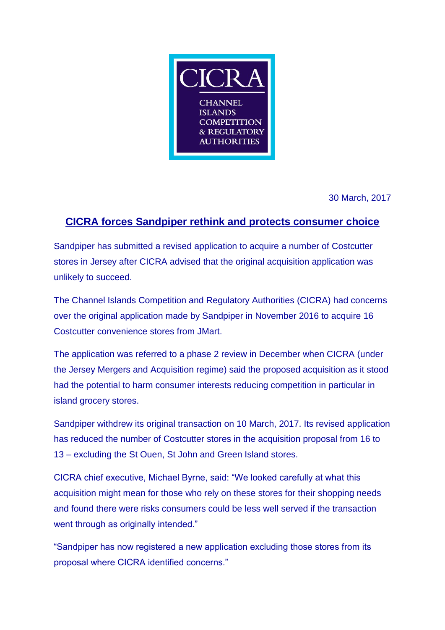

30 March, 2017

## **CICRA forces Sandpiper rethink and protects consumer choice**

Sandpiper has submitted a revised application to acquire a number of Costcutter stores in Jersey after CICRA advised that the original acquisition application was unlikely to succeed.

The Channel Islands Competition and Regulatory Authorities (CICRA) had concerns over the original application made by Sandpiper in November 2016 to acquire 16 Costcutter convenience stores from JMart.

The application was referred to a phase 2 review in December when CICRA (under the Jersey Mergers and Acquisition regime) said the proposed acquisition as it stood had the potential to harm consumer interests reducing competition in particular in island grocery stores.

Sandpiper withdrew its original transaction on 10 March, 2017. Its revised application has reduced the number of Costcutter stores in the acquisition proposal from 16 to 13 – excluding the St Ouen, St John and Green Island stores.

CICRA chief executive, Michael Byrne, said: "We looked carefully at what this acquisition might mean for those who rely on these stores for their shopping needs and found there were risks consumers could be less well served if the transaction went through as originally intended."

"Sandpiper has now registered a new application excluding those stores from its proposal where CICRA identified concerns."